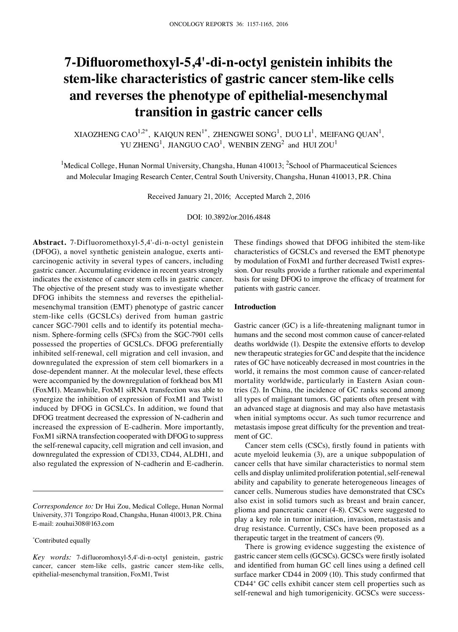# **7-Difluoromethoxyl-5,4'-di-n-octyl genistein inhibits the stem-like characteristics of gastric cancer stem-like cells and reverses the phenotype of epithelial-mesenchymal transition in gastric cancer cells**

XIAOZHENG CAO<sup>1,2\*</sup>, KAIQUN REN<sup>1\*</sup>, ZHENGWEI SONG<sup>1</sup>, DUO LI<sup>1</sup>, MEIFANG QUAN<sup>1</sup>, YU ZHENG<sup>1</sup>, JIANGUO CAO<sup>1</sup>, WENBIN ZENG<sup>2</sup> and HUI ZOU<sup>1</sup>

<sup>1</sup>Medical College, Hunan Normal University, Changsha, Hunan 410013; <sup>2</sup>School of Pharmaceutical Sciences and Molecular Imaging Research Center, Central South University, Changsha, Hunan 410013, P.R. China

Received January 21, 2016; Accepted March 2, 2016

DOI: 10.3892/or.2016.4848

**Abstract.** 7-Difluoromethoxyl-5,4'-di-n-octyl genistein (DFOG), a novel synthetic genistein analogue, exerts anticarcinogenic activity in several types of cancers, including gastric cancer. Accumulating evidence in recent years strongly indicates the existence of cancer stem cells in gastric cancer. The objective of the present study was to investigate whether DFOG inhibits the stemness and reverses the epithelialmesenchymal transition (EMT) phenotype of gastric cancer stem-like cells (GCSLCs) derived from human gastric cancer SGC-7901 cells and to identify its potential mechanism. Sphere-forming cells (SFCs) from the SGC-7901 cells possessed the properties of GCSLCs. DFOG preferentially inhibited self-renewal, cell migration and cell invasion, and downregulated the expression of stem cell biomarkers in a dose-dependent manner. At the molecular level, these effects were accompanied by the downregulation of forkhead box M1 (FoxM1). Meanwhile, FoxM1 siRNA transfection was able to synergize the inhibition of expression of FoxM1 and Twist1 induced by DFOG in GCSLCs. In addition, we found that DFOG treatment decreased the expression of N-cadherin and increased the expression of E-cadherin. More importantly, FoxM1 siRNA transfection cooperated with DFOG to suppress the self-renewal capacity, cell migration and cell invasion, and downregulated the expression of CD133, CD44, ALDH1, and also regulated the expression of N-cadherin and E-cadherin.

*Correspondence to:* Dr Hui Zou, Medical College, Hunan Normal University, 371 Tongzipo Road, Changsha, Hunan 410013, P.R. China E-mail: zouhui308@163.com

\* Contributed equally

These findings showed that DFOG inhibited the stem-like characteristics of GCSLCs and reversed the EMT phenotype by modulation of FoxM1 and further decreased Twist1 expression. Our results provide a further rationale and experimental basis for using DFOG to improve the efficacy of treatment for patients with gastric cancer.

## **Introduction**

Gastric cancer (GC) is a life-threatening malignant tumor in humans and the second most common cause of cancer-related deaths worldwide (1). Despite the extensive efforts to develop new therapeutic strategies for GC and despite that the incidence rates of GC have noticeably decreased in most countries in the world, it remains the most common cause of cancer-related mortality worldwide, particularly in Eastern Asian countries (2). In China, the incidence of GC ranks second among all types of malignant tumors. GC patients often present with an advanced stage at diagnosis and may also have metastasis when initial symptoms occur. As such tumor recurrence and metastasis impose great difficulty for the prevention and treatment of GC.

Cancer stem cells (CSCs), firstly found in patients with acute myeloid leukemia (3), are a unique subpopulation of cancer cells that have similar characteristics to normal stem cells and display unlimited proliferation potential, self-renewal ability and capability to generate heterogeneous lineages of cancer cells. Numerous studies have demonstrated that CSCs also exist in solid tumors such as breast and brain cancer, glioma and pancreatic cancer (4-8). CSCs were suggested to play a key role in tumor initiation, invasion, metastasis and drug resistance. Currently, CSCs have been proposed as a therapeutic target in the treatment of cancers (9).

There is growing evidence suggesting the existence of gastric cancer stem cells (GCSCs). GCSCs were firstly isolated and identified from human GC cell lines using a defined cell surface marker CD44 in 2009 (10). This study confirmed that CD44+ GC cells exhibit cancer stem cell properties such as self-renewal and high tumorigenicity. GCSCs were success-

*Key words:* 7-difluoromhoxyl-5,4'-di-n-octyl genistein, gastric cancer, cancer stem-like cells, gastric cancer stem-like cells, epithelial-mesenchymal transition, FoxM1, Twist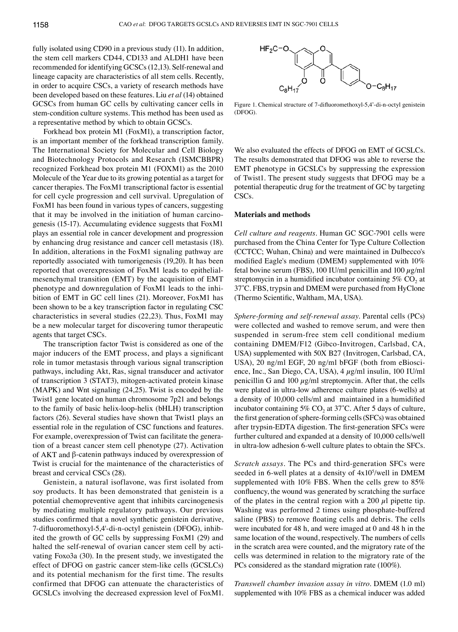fully isolated using CD90 in a previous study (11). In addition, the stem cell markers CD44, CD133 and ALDH1 have been recommended for identifying GCSCs(12,13). Self-renewal and lineage capacity are characteristics of all stem cells. Recently, in order to acquire CSCs, a variety of research methods have been developed based on these features. Liu *et al* (14) obtained GCSCs from human GC cells by cultivating cancer cells in stem-condition culture systems. This method has been used as a representative method by which to obtain GCSCs.

Forkhead box protein M1 (FoxM1), a transcription factor, is an important member of the forkhead transcription family. The International Society for Molecular and Cell Biology and Biotechnology Protocols and Research (ISMCBBPR) recognized Forkhead box protein M1 (FOXM1) as the 2010 Molecule of the Year due to its growing potential as a target for cancer therapies. The FoxM1 transcriptional factor is essential for cell cycle progression and cell survival. Upregulation of FoxM1 has been found in various types of cancers, suggesting that it may be involved in the initiation of human carcinogenesis (15-17). Accumulating evidence suggests that FoxM1 plays an essential role in cancer development and progression by enhancing drug resistance and cancer cell metastasis (18). In addition, alterations in the FoxM1 signaling pathway are reportedly associated with tumorigenesis (19,20). It has been reported that overexpression of FoxM1 leads to epithelialmesenchymal transition (EMT) by the acquisition of EMT phenotype and downregulation of FoxM1 leads to the inhibition of EMT in GC cell lines (21). Moreover, FoxM1 has been shown to be a key transcription factor in regulating CSC characteristics in several studies (22,23). Thus, FoxM1 may be a new molecular target for discovering tumor therapeutic agents that target CSCs.

The transcription factor Twist is considered as one of the major inducers of the EMT process, and plays a significant role in tumor metastasis through various signal transcription pathways, including Akt, Ras, signal transducer and activator of transcription 3 (STAT3), mitogen-activated protein kinase (MAPK) and Wnt signaling (24,25). Twist is encoded by the Twist1 gene located on human chromosome 7p21 and belongs to the family of basic helix-loop-helix (bHLH) transcription factors (26). Several studies have shown that Twist1 plays an essential role in the regulation of CSC functions and features. For example, overexpression of Twist can facilitate the generation of a breast cancer stem cell phenotype (27). Activation of AKT and β-catenin pathways induced by overexpression of Twist is crucial for the maintenance of the characteristics of breast and cervical CSCs (28).

Genistein, a natural isoflavone, was first isolated from soy products. It has been demonstrated that genistein is a potential chemopreventive agent that inhibits carcinogenesis by mediating multiple regulatory pathways. Our previous studies confirmed that a novel synthetic genistein derivative, 7-difluoromethoxyl-5,4'-di-n-octyl genistein (DFOG), inhibited the growth of GC cells by suppressing FoxM1 (29) and halted the self-renewal of ovarian cancer stem cell by activating Foxo3a (30). In the present study, we investigated the effect of DFOG on gastric cancer stem-like cells (GCSLCs) and its potential mechanism for the first time. The results confirmed that DFOG can attenuate the characteristics of GCSLCs involving the decreased expression level of FoxM1.



Figure 1. Chemical structure of 7-difluoromethoxyl-5,4'-di-n-octyl genistein (DFOG).

We also evaluated the effects of DFOG on EMT of GCSLCs. The results demonstrated that DFOG was able to reverse the EMT phenotype in GCSLCs by suppressing the expression of Twist1. The present study suggests that DFOG may be a potential therapeutic drug for the treatment of GC by targeting CSC<sub>s</sub>.

## **Materials and methods**

*Cell culture and reagents.* Human GC SGC-7901 cells were purchased from the China Center for Type Culture Collection (CCTCC; Wuhan, China) and were maintained in Dulbecco's modified Eagle's medium (DMEM) supplemented with 10% fetal bovine serum (FBS), 100 IU/ml penicillin and 100  $\mu$ g/ml streptomycin in a humidified incubator containing  $5\%$  CO<sub>2</sub> at 37˚C. FBS, trypsin and DMEM were purchased from HyClone (Thermo Scientific, Waltham, MA, USA).

*Sphere-forming and self-renewal assay.* Parental cells (PCs) were collected and washed to remove serum, and were then suspended in serum-free stem cell conditional medium containing DMEM/F12 (Gibco-Invitrogen, Carlsbad, CA, USA) supplemented with 50X B27 (Invitrogen, Carlsbad, CA, USA), 20 ng/ml EGF, 20 ng/ml bFGF (both from eBioscience, Inc., San Diego, CA, USA), 4 µg/ml insulin, 100 IU/ml penicillin G and 100  $\mu$ g/ml streptomycin. After that, the cells were plated in ultra-low adherence culture plates (6-wells) at a density of 10,000 cells/ml and maintained in a humidified incubator containing 5% CO<sub>2</sub> at  $37^{\circ}$ C. After 5 days of culture, the first generation of sphere-forming cells (SFCs) was obtained after trypsin-EDTA digestion. The first-generation SFCs were further cultured and expanded at a density of 10,000 cells/well in ultra-low adhesion 6-well culture plates to obtain the SFCs.

*Scratch assays.* The PCs and third-generation SFCs were seeded in 6-well plates at a density of  $4x10<sup>5</sup>/well$  in DMEM supplemented with 10% FBS. When the cells grew to 85% confluency, the wound was generated by scratching the surface of the plates in the central region with a 200  $\mu$ l pipette tip. Washing was performed 2 times using phosphate-buffered saline (PBS) to remove floating cells and debris. The cells were incubated for 48 h, and were imaged at 0 and 48 h in the same location of the wound, respectively. The numbers of cells in the scratch area were counted, and the migratory rate of the cells was determined in relation to the migratory rate of the PCs considered as the standard migration rate (100%).

*Transwell chamber invasion assay in vitro.* DMEM (1.0 ml) supplemented with 10% FBS as a chemical inducer was added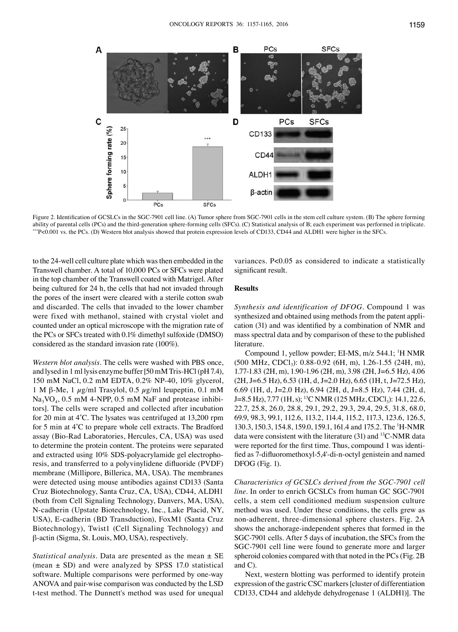



Figure 2. Identification of GCSLCs in the SGC-7901 cell line. (A) Tumor sphere from SGC-7901 cells in the stem cell culture system. (B) The sphere forming ability of parental cells (PCs) and the third-generation sphere-for \*\*P<0.001 vs. the PCs. (D) Western blot analysis showed that protein expression levels of CD133, CD44 and ALDH1 were higher in the SFCs.

to the 24-well cell culture plate which was then embedded in the Transwell chamber. A total of 10,000 PCs or SFCs were plated in the top chamber of the Transwell coated with Matrigel. After being cultured for 24 h, the cells that had not invaded through the pores of the insert were cleared with a sterile cotton swab and discarded. The cells that invaded to the lower chamber were fixed with methanol, stained with crystal violet and counted under an optical microscope with the migration rate of the PCs or SFCs treated with 0.1% dimethyl sulfoxide (DMSO) considered as the standard invasion rate (100%).

*Western blot analysis.* The cells were washed with PBS once, and lysed in 1ml lysis enzyme buffer [50mM Tris-HCl (pH 7.4), 150 mM NaCl, 0.2 mM EDTA, 0.2% NP-40, 10% glycerol, 1 M β-Me, 1  $\mu$ g/ml Trasylol, 0.5  $\mu$ g/ml leupeptin, 0.1 mM  $Na<sub>3</sub>VO<sub>4</sub>$ , 0.5 mM 4-NPP, 0.5 mM NaF and protease inhibitors]. The cells were scraped and collected after incubation for 20 min at 4˚C. The lysates was centrifuged at 13,200 rpm for 5 min at 4˚C to prepare whole cell extracts. The Bradford assay (Bio-Rad Laboratories, Hercules, CA, USA) was used to determine the protein content. The proteins were separated and extracted using 10% SDS-polyacrylamide gel electrophoresis, and transferred to a polyvinylidene difluoride (PVDF) membrane (Millipore, Billerica, MA, USA). The membranes were detected using mouse antibodies against CD133 (Santa Cruz Biotechnology, Santa Cruz, CA, USA), CD44, ALDH1 (both from Cell Signaling Technology, Danvers, MA, USA), N-cadherin (Upstate Biotechnology, Inc., Lake Placid, NY, USA), E-cadherin (BD Transduction), FoxM1 (Santa Cruz Biotechnology), Twist1 (Cell Signaling Technology) and β-actin (Sigma, St. Louis, MO, USA), respectively.

*Statistical analysis.* Data are presented as the mean ± SE (mean  $\pm$  SD) and were analyzed by SPSS 17.0 statistical software. Multiple comparisons were performed by one-way ANOVA and pair-wise comparison was conducted by the LSD t-test method. The Dunnett's method was used for unequal

variances. P<0.05 as considered to indicate a statistically significant result.

# **Results**

*Synthesis and identification of DFOG.* Compound 1 was synthesized and obtained using methods from the patent application (31) and was identified by a combination of NMR and mass spectral data and by comparison of these to the published literature.

Compound 1, yellow powder; EI-MS, m/z 544.1; <sup>1</sup>H NMR (500 MHz, CDCl<sub>3</sub>): 0.88-0.92 (6H, m), 1.26-1.55 (24H, m), 1.77-1.83 (2H, m), 1.90-1.96 (2H, m), 3.98 (2H, J=6.5 Hz), 4.06  $(2H, J=6.5 \text{ Hz})$ , 6.53 (1H, d, J=2.0 Hz), 6.65 (1H, t, J=72.5 Hz), 6.69 (1H, d, J=2.0 Hz), 6.94 (2H, d, J=8.5 Hz), 7.44 (2H, d, J=8.5 Hz), 7.77 (1H, s); <sup>13</sup>C NMR (125 MHz, CDCl<sub>3</sub>): 14.1, 22.6, 22.7, 25.8, 26.0, 28.8, 29.1, 29.2, 29.3, 29.4, 29.5, 31.8, 68.0, 69.9, 98.3, 99.1, 112.6, 113.2, 114.4, 115.2, 117.3, 123.6, 126.5, 130.3, 150.3, 154.8, 159.0, 159.1, 161.4 and 175.2. The 1 H-NMR data were consistent with the literature (31) and 13C-NMR data were reported for the first time. Thus, compound 1 was identified as 7-difluoromethoxyl-5,4'-di-n-octyl genistein and named DFOG (Fig. 1).

*Characteristics of GCSLCs derived from the SGC-7901 cell line.* In order to enrich GCSLCs from human GC SGC-7901 cells, a stem cell conditioned medium suspension culture method was used. Under these conditions, the cells grew as non-adherent, three-dimensional sphere clusters. Fig. 2A shows the anchorage-independent spheres that formed in the SGC-7901 cells. After 5 days of incubation, the SFCs from the SGC-7901 cell line were found to generate more and larger spheroid colonies compared with that noted in the PCs(Fig. 2B and C).

Next, western blotting was performed to identify protein expression of the gastric CSC markers [cluster of differentiation CD133, CD44 and aldehyde dehydrogenase 1 (ALDH1)]. The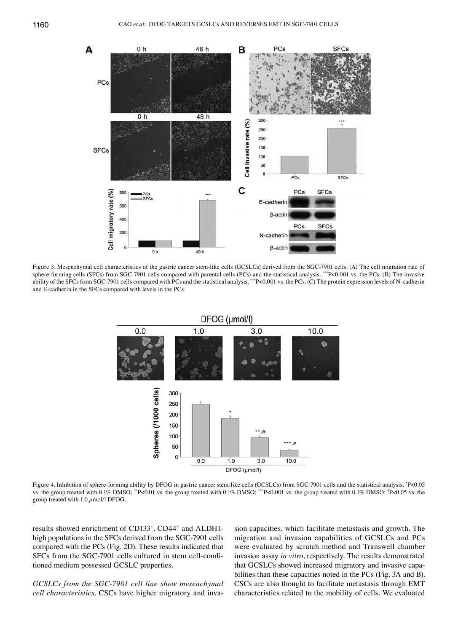

Figure 3. Mesenchymal cell characteristics of the gastric cancer stem-like cells (GCSLCs) derived from the SGC-7901 cells. (A) The cell migration rate of sphere-forming cells (SFCs) from SGC-7901 cells compared with parental cells (PCs) and the statistical analysis. \*\*\*P<0.001 vs. the PCs. (B) The invasive ability of the SFCs from SGC-7901 cells compared with PCs and the statistical analysis. \*\*\*P<0.001 vs. the PCs. (C) The protein expression levels of N-cadherin and E-cadherin in the SFCs compared with levels in the PCs.



Figure 4. Inhibition of sphere-forming ability by DFOG in gastric cancer stem-like cells (GCSLCs) from SGC-7901 cells and the statistical analysis.  $P$ <0.05 vs. the group treated with 0.1% DMSO; \*\*P<0.01 vs. the group treated with 0.1% DMSO; \*\*\*P<0.001 vs. the group treated with 0.1% DMSO; \*P<0.05 vs. the group treated with 1.0  $\mu$ mol/l DFOG.

results showed enrichment of CD133+ , CD44+ and ALDH1 high populations in the SFCs derived from the SGC-7901 cells compared with the PCs (Fig. 2D). These results indicated that SFCs from the SGC-7901 cells cultured in stem cell-conditioned medium possessed GCSLC properties.

*GCSLCs from the SGC-7901 cell line show mesenchymal cell characteristics.* CSCs have higher migratory and inva-

sion capacities, which facilitate metastasis and growth. The migration and invasion capabilities of GCSLCs and PCs were evaluated by scratch method and Transwell chamber invasion assay *in vitro*, respectively. The results demonstrated that GCSLCs showed increased migratory and invasive capabilities than these capacities noted in the PCs (Fig. 3A and B). CSCs are also thought to facilitate metastasis through EMT characteristics related to the mobility of cells. We evaluated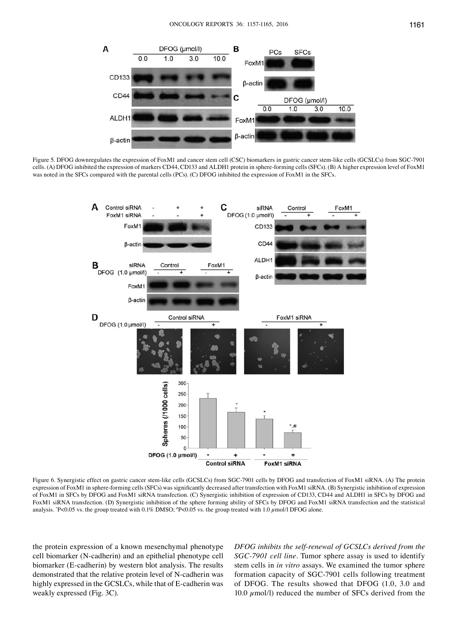

Figure 5. DFOG downregulates the expression of FoxM1 and cancer stem cell (CSC) biomarkers in gastric cancer stem-like cells (GCSLCs) from SGC-7901 cells. (A) DFOG inhibited the expression of markers CD44, CD133 and ALDH1 protein in sphere-forming cells (SFCs). (B) A higher expression level of FoxM1 was noted in the SFCs compared with the parental cells (PCs). (C) DFOG inhibited the expression of FoxM1 in the SFCs.



Figure 6. Synergistic effect on gastric cancer stem-like cells (GCSLCs) from SGC-7901 cells by DFOG and transfection of FoxM1 siRNA. (A) The protein expression of FoxM1 in sphere-forming cells (SFCs) was significantly decreased after transfection with FoxM1 siRNA. (B) Synergistic inhibition of expression of FoxM1 in SFCs by DFOG and FoxM1 siRNA transfection. (C) Synergistic inhibition of expression of CD133, CD44 and ALDH1 in SFCs by DFOG and FoxM1 siRNA transfection. (D) Synergistic inhibition of the sphere forming ability of SFCs by DFOG and FoxM1 siRNA transfection and the statistical analysis.  $P < 0.05$  vs. the group treated with 0.1% DMSO;  $P < 0.05$  vs. the group treated with 1.0  $\mu$ mol/l DFOG alone.

the protein expression of a known mesenchymal phenotype cell biomarker (N-cadherin) and an epithelial phenotype cell biomarker (E-cadherin) by western blot analysis. The results demonstrated that the relative protein level of N-cadherin was highly expressed in the GCSLCs, while that of E-cadherin was weakly expressed (Fig. 3C).

*DFOG inhibits the self-renewal of GCSLCs derived from the SGC-7901 cell line.* Tumor sphere assay is used to identify stem cells in *in vitro* assays. We examined the tumor sphere formation capacity of SGC-7901 cells following treatment of DFOG. The results showed that DFOG (1.0, 3.0 and 10.0  $\mu$ mol/l) reduced the number of SFCs derived from the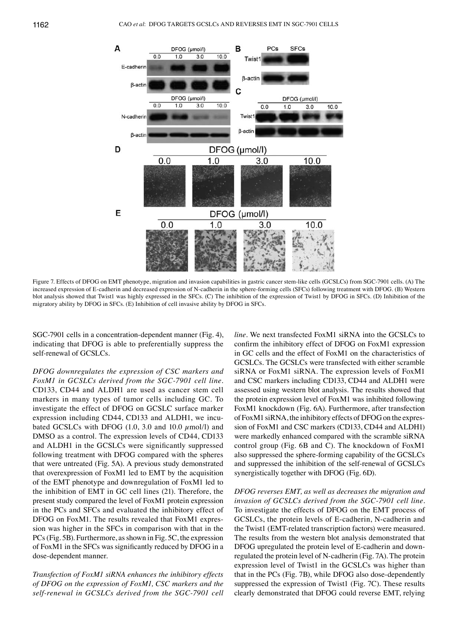

Figure 7. Effects of DFOG on EMT phenotype, migration and invasion capabilities in gastric cancer stem-like cells (GCSLCs) from SGC-7901 cells. (A) The increased expression of E-cadherin and decreased expression of N-cadherin in the sphere-forming cells (SFCs) following treatment with DFOG. (B) Western blot analysis showed that Twist1 was highly expressed in the SFCs. (C) The inhibition of the expression of Twist1 by DFOG in SFCs. (D) Inhibition of the migratory ability by DFOG in SFCs. (E) Inhibition of cell invasive ability by DFOG in SFCs.

SGC-7901 cells in a concentration-dependent manner (Fig. 4), indicating that DFOG is able to preferentially suppress the self-renewal of GCSLCs.

*DFOG downregulates the expression of CSC markers and FoxM1 in GCSLCs derived from the SGC-7901 cell line.*  CD133, CD44 and ALDH1 are used as cancer stem cell markers in many types of tumor cells including GC. To investigate the effect of DFOG on GCSLC surface marker expression including CD44, CD133 and ALDH1, we incubated GCSLCs with DFOG  $(1.0, 3.0 \text{ and } 10.0 \mu \text{mol/l})$  and DMSO as a control. The expression levels of CD44, CD133 and ALDH1 in the GCSLCs were significantly suppressed following treatment with DFOG compared with the spheres that were untreated (Fig. 5A). A previous study demonstrated that overexpression of FoxM1 led to EMT by the acquisition of the EMT phenotype and downregulation of FoxM1 led to the inhibition of EMT in GC cell lines (21). Therefore, the present study compared the level of FoxM1 protein expression in the PCs and SFCs and evaluated the inhibitory effect of DFOG on FoxM1. The results revealed that FoxM1 expression was higher in the SFCs in comparison with that in the PCs(Fig. 5B). Furthermore, as shown in Fig. 5C, the expression of FoxM1 in the SFCs was significantly reduced by DFOG in a dose-dependent manner.

*Transfection of FoxM1 siRNA enhances the inhibitory effects of DFOG on the expression of FoxM1, CSC markers and the self-renewal in GCSLCs derived from the SGC-7901 cell*  *line.* We next transfected FoxM1 siRNA into the GCSLCs to confirm the inhibitory effect of DFOG on FoxM1 expression in GC cells and the effect of FoxM1 on the characteristics of GCSLCs. The GCSLCs were transfected with either scramble siRNA or FoxM1 siRNA. The expression levels of FoxM1 and CSC markers including CD133, CD44 and ALDH1 were assessed using western blot analysis. The results showed that the protein expression level of FoxM1 was inhibited following FoxM1 knockdown (Fig. 6A). Furthermore, after transfection of FoxM1 siRNA, the inhibitory effects of DFOG on the expression of FoxM1 and CSC markers (CD133, CD44 and ALDH1) were markedly enhanced compared with the scramble siRNA control group (Fig. 6B and C). The knockdown of FoxM1 also suppressed the sphere-forming capability of the GCSLCs and suppressed the inhibition of the self-renewal of GCSLCs synergistically together with DFOG (Fig. 6D).

*DFOG reverses EMT, as well as decreases the migration and invasion of GCSLCs derived from the SGC-7901 cell line.*  To investigate the effects of DFOG on the EMT process of GCSLCs, the protein levels of E-cadherin, N-cadherin and the Twist1 (EMT-related transcription factors) were measured. The results from the western blot analysis demonstrated that DFOG upregulated the protein level of E-cadherin and downregulated the protein level of N-cadherin (Fig. 7A). The protein expression level of Twist1 in the GCSLCs was higher than that in the PCs (Fig. 7B), while DFOG also dose-dependently suppressed the expression of Twist1 (Fig. 7C). These results clearly demonstrated that DFOG could reverse EMT, relying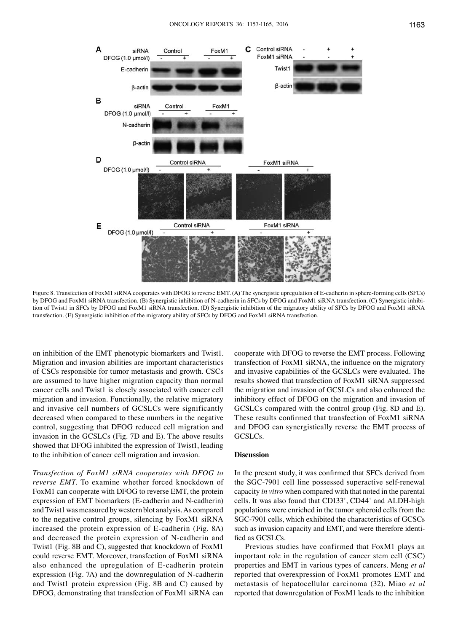

Figure 8. Transfection of FoxM1 siRNA cooperates with DFOG to reverse EMT. (A) The synergistic upregulation of E-cadherin in sphere-forming cells (SFCs) by DFOG and FoxM1 siRNA transfection. (B) Synergistic inhibition of N-cadherin in SFCs by DFOG and FoxM1 siRNA transfection. (C) Synergistic inhibition of Twist1 in SFCs by DFOG and FoxM1 siRNA transfection. (D) Synergistic inhibition of the migratory ability of SFCs by DFOG and FoxM1 siRNA transfection. (E) Synergistic inhibition of the migratory ability of SFCs by DFOG and FoxM1 siRNA transfection.

on inhibition of the EMT phenotypic biomarkers and Twist1. Migration and invasion abilities are important characteristics of CSCs responsible for tumor metastasis and growth. CSCs are assumed to have higher migration capacity than normal cancer cells and Twist1 is closely associated with cancer cell migration and invasion. Functionally, the relative migratory and invasive cell numbers of GCSLCs were significantly decreased when compared to these numbers in the negative control, suggesting that DFOG reduced cell migration and invasion in the GCSLCs (Fig. 7D and E). The above results showed that DFOG inhibited the expression of Twist1, leading to the inhibition of cancer cell migration and invasion.

*Transfection of FoxM1 siRNA cooperates with DFOG to reverse EMT.* To examine whether forced knockdown of FoxM1 can cooperate with DFOG to reverse EMT, the protein expression of EMT biomarkers (E-cadherin and N-cadherin) and Twist1 was measured by western blot analysis. As compared to the negative control groups, silencing by FoxM1 siRNA increased the protein expression of E-cadherin (Fig. 8A) and decreased the protein expression of N-cadherin and Twist1 (Fig. 8B and C), suggested that knockdown of FoxM1 could reverse EMT. Moreover, transfection of FoxM1 siRNA also enhanced the upregulation of E-cadherin protein expression (Fig. 7A) and the downregulation of N-cadherin and Twist1 protein expression (Fig. 8B and C) caused by DFOG, demonstrating that transfection of FoxM1 siRNA can cooperate with DFOG to reverse the EMT process. Following transfection of FoxM1 siRNA, the influence on the migratory and invasive capabilities of the GCSLCs were evaluated. The results showed that transfection of FoxM1 siRNA suppressed the migration and invasion of GCSLCs and also enhanced the inhibitory effect of DFOG on the migration and invasion of GCSLCs compared with the control group (Fig. 8D and E). These results confirmed that transfection of FoxM1 siRNA and DFOG can synergistically reverse the EMT process of GCSLCs.

## **Discussion**

In the present study, it was confirmed that SFCs derived from the SGC-7901 cell line possessed superactive self-renewal capacity *in vitro* when compared with that noted in the parental cells. It was also found that CD133+ , CD44+ and ALDH-high populations were enriched in the tumor spheroid cells from the SGC-7901 cells, which exhibited the characteristics of GCSCs such as invasion capacity and EMT, and were therefore identified as GCSLCs.

Previous studies have confirmed that FoxM1 plays an important role in the regulation of cancer stem cell (CSC) properties and EMT in various types of cancers. Meng *et al* reported that overexpression of FoxM1 promotes EMT and metastasis of hepatocellular carcinoma (32). Miao *et al* reported that downregulation of FoxM1 leads to the inhibition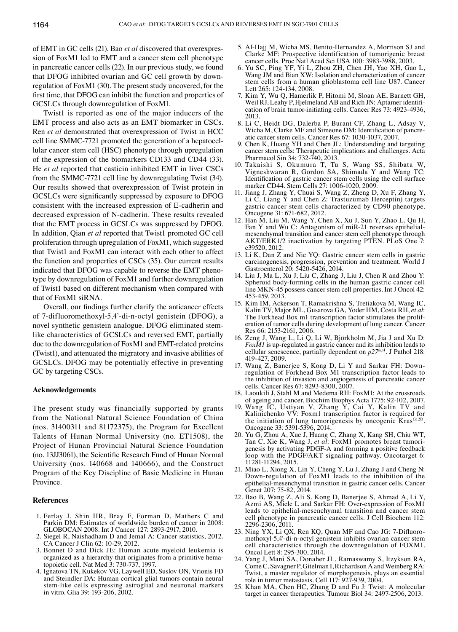of EMT in GC cells (21). Bao *et al* discovered that overexpression of FoxM1 led to EMT and a cancer stem cell phenotype in pancreatic cancer cells (22). In our previous study, we found that DFOG inhibited ovarian and GC cell growth by downregulation of FoxM1 (30). The present study uncovered, for the first time, that DFOG can inhibit the function and properties of GCSLCs through downregulation of FoxM1.

Twist1 is reported as one of the major inducers of the EMT process and also acts as an EMT biomarker in CSCs. Ren *et al* demonstrated that overexpression of Twist in HCC cell line SMMC-7721 promoted the generation of a hepatocellular cancer stem cell (HSC) phenotype through upregulation of the expression of the biomarkers CD133 and CD44 (33). He *et al* reported that casticin inhibited EMT in liver CSCs from the SMMC-7721 cell line by downregulating Twist (34). Our results showed that overexpression of Twist protein in GCSLCs were significantly suppressed by exposure to DFOG consistent with the increased expression of E-cadherin and decreased expression of N-cadherin. These results revealed that the EMT process in GCSLCs was suppressed by DFOG. In addition, Qian *et al* reported that Twist1 promoted GC cell proliferation through upregulation of FoxM1, which suggested that Twist1 and FoxM1 can interact with each other to affect the function and properties of CSCs (35). Our current results indicated that DFOG was capable to reverse the EMT phenotype by downregulation of FoxM1 and further downregulation of Twist1 based on different mechanism when compared with that of FoxM1 siRNA.

Overall, our findings further clarify the anticancer effects of 7-difluoromethoxyl-5,4'-di-n-octyl genistein (DFOG), a novel synthetic genistein analogue. DFOG eliminated stemlike characteristics of GCSLCs and reversed EMT, partially due to the downregulation of FoxM1 and EMT-related proteins (Twist1), and attenuated the migratory and invasive abilities of GCSLCs. DFOG may be potentially effective in preventing GC by targeting CSCs.

## **Acknowledgements**

The present study was financially supported by grants from the National Natural Science Foundation of China (nos. 31400311 and 81172375), the Program for Excellent Talents of Hunan Normal University (no. ET1508), the Project of Hunan Provincial Natural Science Foundation (no. 13JJ3061), the Scientific Research Fund of Hunan Normal University (nos. 140668 and 140666), and the Construct Program of the Key Discipline of Basic Medicine in Hunan Province.

## **References**

- 1. Ferlay J, Shin HR, Bray F, Forman D, Mathers C and Parkin DM: Estimates of worldwide burden of cancer in 2008: GLOBOCAN 2008. Int J Cancer 127: 2893-2917, 2010.
- 2. Siegel R, Naishadham D and Jemal A: Cancer statistics, 2012. CA Cancer J Clin 62: 10-29, 2012.
- 3. Bonnet D and Dick JE: Human acute myeloid leukemia is organized as a hierarchy that originates from a primitive hematopoietic cell. Nat Med 3: 730-737, 1997.
- 4. Ignatova TN, Kukekov VG, Laywell ED, Suslov ON, Vrionis FD and Steindler DA: Human cortical glial tumors contain neural stem-like cells expressing astroglial and neuronal markers in vitro. Glia 39: 193-206, 2002.
- 5. Al-Hajj M, Wicha MS, Benito-Hernandez A, Morrison SJ and Clarke MF: Prospective identification of tumorigenic breast cancer cells. Proc Natl Acad Sci USA 100: 3983-3988, 2003.
- 6. Yu SC, Ping YF, Yi L, Zhou ZH, Chen JH, Yao XH, Gao L, Wang JM and Bian XW: Isolation and characterization of cancer stem cells from a human glioblastoma cell line U87. Cancer Lett 265: 124-134, 2008.
- 7. Kim Y, Wu Q, Hamerlik P, Hitomi M, Sloan AE, Barnett GH, cation of brain tumor-initiating cells. Cancer Res 73: 4923-4936, 2013.<br>8. Li C, Heidt DG, Dalerba P, Burant CF, Zhang L, Adsay V,
- Wicha M, Clarke MF and Simeone DM: Identification of pancre-<br>atic cancer stem cells. Cancer Res 67: 1030-1037, 2007.
- 9. Chen K, Huang YH and Chen JL: Understanding and targeting cancer stem cells: Therapeutic implications and challenges. Acta Pharmacol Sin 34: 732-740, 2013.
- 10. Takaishi S, Okumura T, Tu S, Wang SS, Shibata W, Vigneshwaran R, Gordon SA, Shimada Y and Wang TC: Identification of gastric cancer stem cells using the cell surface marker CD44. Stem Cells 27: 1006-1020, 2009.
- 11. Jiang J, Zhang Y, Chuai S, Wang Z, Zheng D, Xu F, Zhang Y, Li  $\check{C}$ , Liang  $\check{Y}$  and Chen Z: Trastuzumab Herceptin) targets gastric cancer stem cells characterized by CD90 phenotype. Oncogene 31: 671-682, 2012.
- 12. Han M, Liu M, Wang Y, Chen X, Xu J, Sun Y, Zhao L, Qu H, Fan Y and Wu C: Antagonism of miR-21 reverses epithelialmesenchymal transition and cancer stem cell phenotype through AKT/ERK1/2 inactivation by targeting PTEN. PLoS One 7: e39520, 2012.
- 13. Li K, Dan Z and Nie YQ: Gastric cancer stem cells in gastric carcinogenesis, progression, prevention and treatment. World J Gastroenterol 20: 5420-5426, 2014.
- 14. Liu J, Ma L, Xu J, Liu C, Zhang J, Liu J, Chen R and Zhou Y: Spheroid body-forming cells in the human gastric cancer cell line MKN-45 possess cancer stem cell properties. Int J Oncol 42: 453-459, 2013.
- 15. Kim IM, Ackerson T, Ramakrishna S, Tretiakova M, Wang IC, Kalin TV, Major ML, Gusarova GA, Yoder HM, Costa RH, *et al*: The Forkhead Box m1 transcription factor stimulates the proliferation of tumor cells during development of lung cancer. Cancer Res 66: 2153-2161, 2006.
- 16. Zeng J, Wang L, Li Q, Li W, Björkholm M, Jia J and Xu D: *FoxM1* is up-regulated in gastric cancer and its inhibition leads to cellular senescence, partially dependent on *p27kip*<sup>1</sup> . J Pathol 218: 419-427, 2009.
- 17. Wang Z, Banerjee S, Kong D, Li Y and Sarkar FH: Downregulation of Forkhead Box M1 transcription factor leads to the inhibition of invasion and angiogenesis of pancreatic cancer cells. Cancer Res 67: 8293-8300, 2007.
- 18. Laoukili J, Stahl M and Medema RH: FoxM1: At the crossroads of ageing and cancer. Biochim Biophys Acta 1775: 92-102, 2007.
- 19. Wang IC, Ustiyan V, Zhang Y, Cai Y, Kalin TV and Kalinichenko VV: Foxm1 transcription factor is required for the initiation of lung tumorigenesis by oncogenic Kras<sup>G12D</sup>. Oncogene 33: 5391-5396, 2014.
- 20. Yu G, Zhou A, Xue J, Huang C, Zhang X, Kang SH, Chiu WT, Tan C, Xie K, Wang J, *et al*: FoxM1 promotes breast tumorigenesis by activating PDGF-A and forming a positive feedback loop with the PDGF/AKT signaling pathway. Oncotarget 6: 11281-11294, 2015.
- 21. Miao L, Xiong X, Lin Y, Cheng Y, Lu J, Zhang J and Cheng N: Down-regulation of FoxM1 leads to the inhibition of the epithelial-mesenchymal transition in gastric cancer cells. Cancer Genet 207: 75-82, 2014.
- 22. Bao B, Wang Z, Ali S, Kong D, Banerjee S, Ahmad A, Li Y, Azmi AS, Miele L and Sarkar FH: Over-expression of FoxM1 leads to epithelial-mesenchymal transition and cancer stem cell phenotype in pancreatic cancer cells. J Cell Biochem 112: 2296-2306, 2011.
- 23. Ning YX, Li QX, Ren KQ, Quan MF and Cao JG: 7-Difluoromethoxyl-5,4'-di-n-octyl genistein inhibits ovarian cancer stem cell characteristics through the downregulation of FOXM1. Oncol Lett 8: 295-300, 2014.
- 24. Yang J, Mani SA, Donaher JL, Ramaswamy S, Itzykson RA, ComeC, Savagner P, Gitelman I, Richardson A and WeinbergRA: Twist, a master regulator of morphogenesis, plays an essential role in tumor metastasis. Cell 117: 927-939, 2004.
- 25. Khan MA, Chen HC, Zhang D and Fu J: Twist: A molecular target in cancer therapeutics. Tumour Biol 34: 2497-2506, 2013.